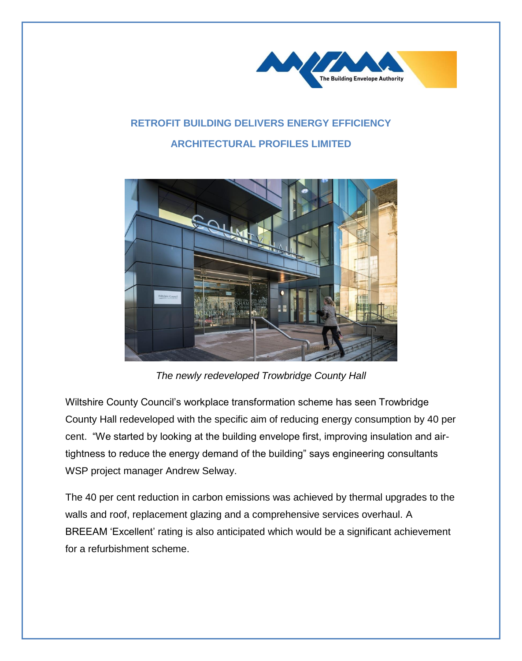

## **RETROFIT BUILDING DELIVERS ENERGY EFFICIENCY ARCHITECTURAL PROFILES LIMITED**



*The newly redeveloped Trowbridge County Hall*

Wiltshire County Council's workplace transformation scheme has seen Trowbridge County Hall redeveloped with the specific aim of reducing energy consumption by 40 per cent. "We started by looking at the building envelope first, improving insulation and airtightness to reduce the energy demand of the building" says engineering consultants WSP project manager Andrew Selway.

The 40 per cent reduction in carbon emissions was achieved by thermal upgrades to the walls and roof, replacement glazing and a comprehensive services overhaul. A BREEAM 'Excellent' rating is also anticipated which would be a significant achievement for a refurbishment scheme.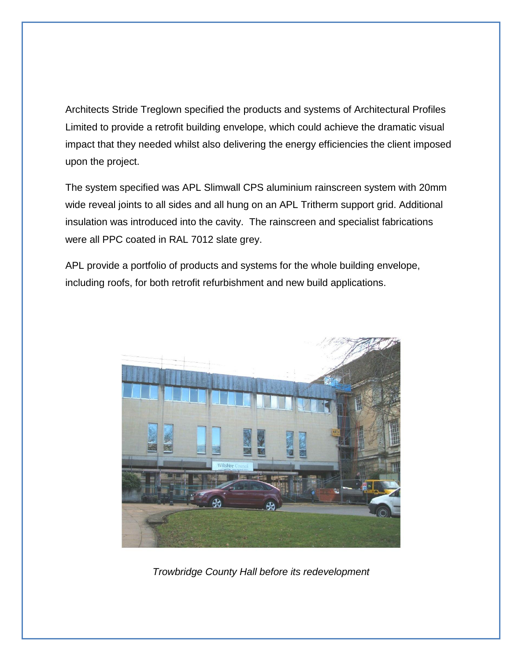Architects Stride Treglown specified the products and systems of Architectural Profiles Limited to provide a retrofit building envelope, which could achieve the dramatic visual impact that they needed whilst also delivering the energy efficiencies the client imposed upon the project.

The system specified was APL Slimwall CPS aluminium rainscreen system with 20mm wide reveal joints to all sides and all hung on an APL Tritherm support grid. Additional insulation was introduced into the cavity. The rainscreen and specialist fabrications were all PPC coated in RAL 7012 slate grey.

APL provide a portfolio of products and systems for the whole building envelope, including roofs, for both retrofit refurbishment and new build applications.



*Trowbridge County Hall before its redevelopment*